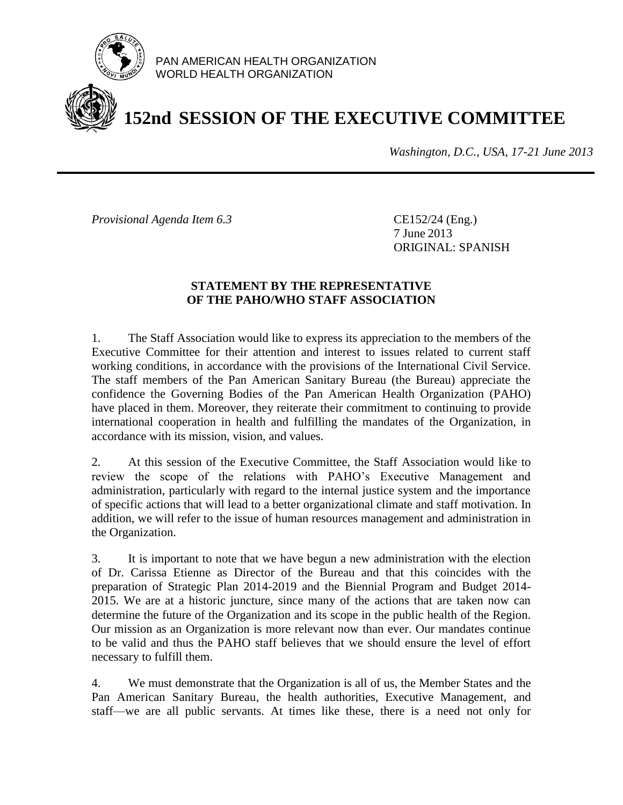

PAN AMERICAN HEALTH ORGANIZATION WORLD HEALTH ORGANIZATION

## **152nd SESSION OF THE EXECUTIVE COMMITTEE**

*Washington, D.C., USA, 17-21 June 2013*

*Provisional Agenda Item 6.3* CE152/24 (Eng.)

7 June 2013 ORIGINAL: SPANISH

## **STATEMENT BY THE REPRESENTATIVE OF THE PAHO/WHO STAFF ASSOCIATION**

1. The Staff Association would like to express its appreciation to the members of the Executive Committee for their attention and interest to issues related to current staff working conditions, in accordance with the provisions of the International Civil Service. The staff members of the Pan American Sanitary Bureau (the Bureau) appreciate the confidence the Governing Bodies of the Pan American Health Organization (PAHO) have placed in them. Moreover, they reiterate their commitment to continuing to provide international cooperation in health and fulfilling the mandates of the Organization, in accordance with its mission, vision, and values.

2. At this session of the Executive Committee, the Staff Association would like to review the scope of the relations with PAHO's Executive Management and administration, particularly with regard to the internal justice system and the importance of specific actions that will lead to a better organizational climate and staff motivation. In addition, we will refer to the issue of human resources management and administration in the Organization.

3. It is important to note that we have begun a new administration with the election of Dr. Carissa Etienne as Director of the Bureau and that this coincides with the preparation of Strategic Plan 2014-2019 and the Biennial Program and Budget 2014- 2015. We are at a historic juncture, since many of the actions that are taken now can determine the future of the Organization and its scope in the public health of the Region. Our mission as an Organization is more relevant now than ever. Our mandates continue to be valid and thus the PAHO staff believes that we should ensure the level of effort necessary to fulfill them.

4. We must demonstrate that the Organization is all of us, the Member States and the Pan American Sanitary Bureau, the health authorities, Executive Management, and staff—we are all public servants. At times like these, there is a need not only for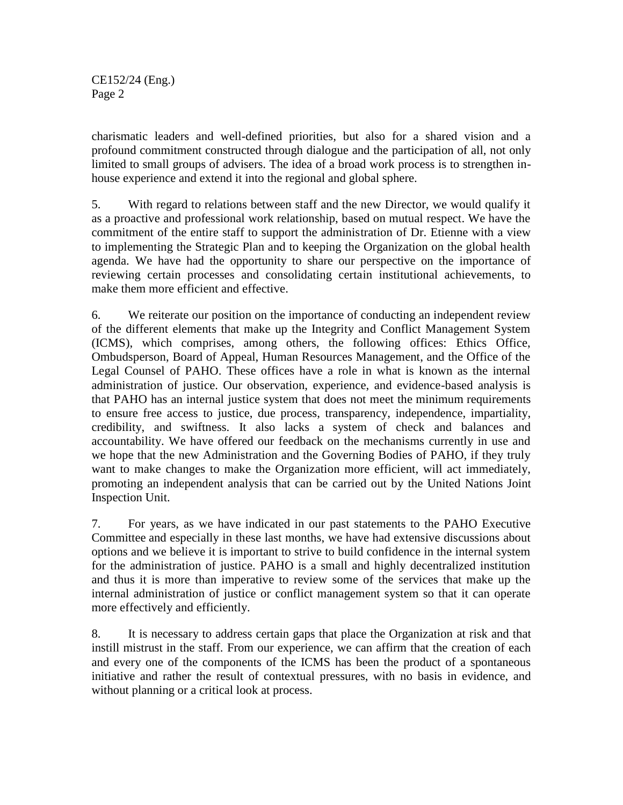CE152/24 (Eng.) Page 2

charismatic leaders and well-defined priorities, but also for a shared vision and a profound commitment constructed through dialogue and the participation of all, not only limited to small groups of advisers. The idea of a broad work process is to strengthen inhouse experience and extend it into the regional and global sphere.

5. With regard to relations between staff and the new Director, we would qualify it as a proactive and professional work relationship, based on mutual respect. We have the commitment of the entire staff to support the administration of Dr. Etienne with a view to implementing the Strategic Plan and to keeping the Organization on the global health agenda. We have had the opportunity to share our perspective on the importance of reviewing certain processes and consolidating certain institutional achievements, to make them more efficient and effective.

6. We reiterate our position on the importance of conducting an independent review of the different elements that make up the Integrity and Conflict Management System (ICMS), which comprises, among others, the following offices: Ethics Office, Ombudsperson, Board of Appeal, Human Resources Management, and the Office of the Legal Counsel of PAHO. These offices have a role in what is known as the internal administration of justice. Our observation, experience, and evidence-based analysis is that PAHO has an internal justice system that does not meet the minimum requirements to ensure free access to justice, due process, transparency, independence, impartiality, credibility, and swiftness. It also lacks a system of check and balances and accountability. We have offered our feedback on the mechanisms currently in use and we hope that the new Administration and the Governing Bodies of PAHO, if they truly want to make changes to make the Organization more efficient, will act immediately, promoting an independent analysis that can be carried out by the United Nations Joint Inspection Unit.

7. For years, as we have indicated in our past statements to the PAHO Executive Committee and especially in these last months, we have had extensive discussions about options and we believe it is important to strive to build confidence in the internal system for the administration of justice. PAHO is a small and highly decentralized institution and thus it is more than imperative to review some of the services that make up the internal administration of justice or conflict management system so that it can operate more effectively and efficiently.

8. It is necessary to address certain gaps that place the Organization at risk and that instill mistrust in the staff. From our experience, we can affirm that the creation of each and every one of the components of the ICMS has been the product of a spontaneous initiative and rather the result of contextual pressures, with no basis in evidence, and without planning or a critical look at process.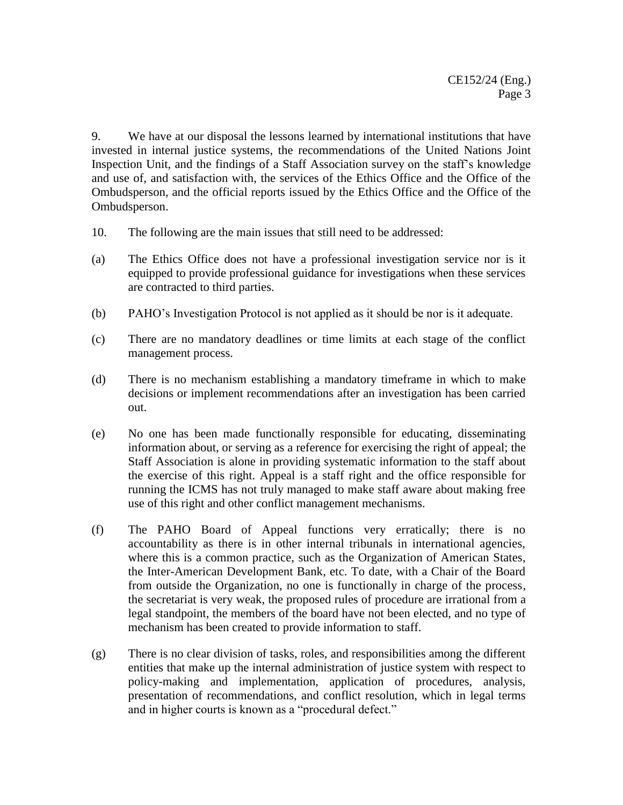9. We have at our disposal the lessons learned by international institutions that have invested in internal justice systems, the recommendations of the United Nations Joint Inspection Unit, and the findings of a Staff Association survey on the staff's knowledge and use of, and satisfaction with, the services of the Ethics Office and the Office of the Ombudsperson, and the official reports issued by the Ethics Office and the Office of the Ombudsperson.

- 10. The following are the main issues that still need to be addressed:
- (a) The Ethics Office does not have a professional investigation service nor is it equipped to provide professional guidance for investigations when these services are contracted to third parties.
- (b) PAHO's Investigation Protocol is not applied as it should be nor is it adequate.
- (c) There are no mandatory deadlines or time limits at each stage of the conflict management process.
- (d) There is no mechanism establishing a mandatory timeframe in which to make decisions or implement recommendations after an investigation has been carried out.
- (e) No one has been made functionally responsible for educating, disseminating information about, or serving as a reference for exercising the right of appeal; the Staff Association is alone in providing systematic information to the staff about the exercise of this right. Appeal is a staff right and the office responsible for running the ICMS has not truly managed to make staff aware about making free use of this right and other conflict management mechanisms.
- (f) The PAHO Board of Appeal functions very erratically; there is no accountability as there is in other internal tribunals in international agencies, where this is a common practice, such as the Organization of American States, the Inter-American Development Bank, etc. To date, with a Chair of the Board from outside the Organization, no one is functionally in charge of the process, the secretariat is very weak, the proposed rules of procedure are irrational from a legal standpoint, the members of the board have not been elected, and no type of mechanism has been created to provide information to staff.
- (g) There is no clear division of tasks, roles, and responsibilities among the different entities that make up the internal administration of justice system with respect to policy-making and implementation, application of procedures, analysis, presentation of recommendations, and conflict resolution, which in legal terms and in higher courts is known as a "procedural defect."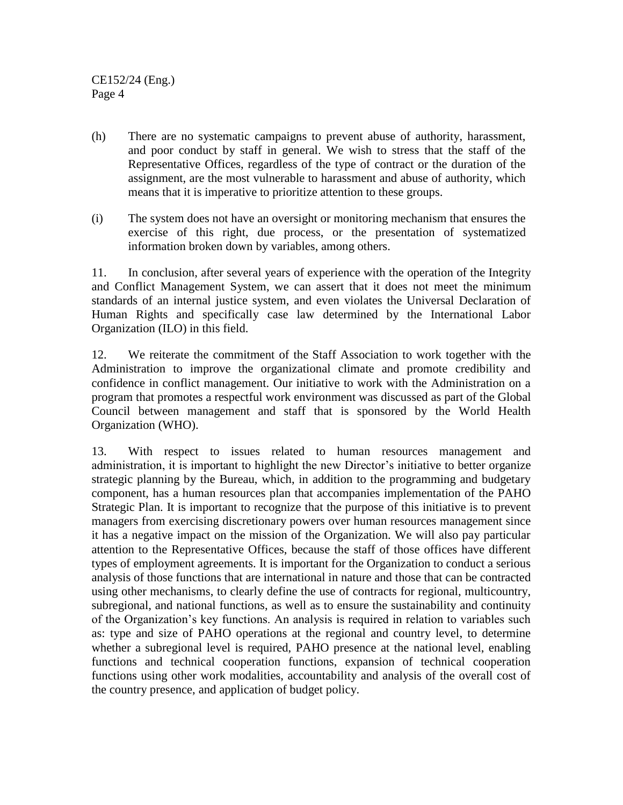CE152/24 (Eng.) Page 4

- (h) There are no systematic campaigns to prevent abuse of authority, harassment, and poor conduct by staff in general. We wish to stress that the staff of the Representative Offices, regardless of the type of contract or the duration of the assignment, are the most vulnerable to harassment and abuse of authority, which means that it is imperative to prioritize attention to these groups.
- (i) The system does not have an oversight or monitoring mechanism that ensures the exercise of this right, due process, or the presentation of systematized information broken down by variables, among others.

11. In conclusion, after several years of experience with the operation of the Integrity and Conflict Management System, we can assert that it does not meet the minimum standards of an internal justice system, and even violates the Universal Declaration of Human Rights and specifically case law determined by the International Labor Organization (ILO) in this field.

12. We reiterate the commitment of the Staff Association to work together with the Administration to improve the organizational climate and promote credibility and confidence in conflict management. Our initiative to work with the Administration on a program that promotes a respectful work environment was discussed as part of the Global Council between management and staff that is sponsored by the World Health Organization (WHO).

13. With respect to issues related to human resources management and administration, it is important to highlight the new Director's initiative to better organize strategic planning by the Bureau, which, in addition to the programming and budgetary component, has a human resources plan that accompanies implementation of the PAHO Strategic Plan. It is important to recognize that the purpose of this initiative is to prevent managers from exercising discretionary powers over human resources management since it has a negative impact on the mission of the Organization. We will also pay particular attention to the Representative Offices, because the staff of those offices have different types of employment agreements. It is important for the Organization to conduct a serious analysis of those functions that are international in nature and those that can be contracted using other mechanisms, to clearly define the use of contracts for regional, multicountry, subregional, and national functions, as well as to ensure the sustainability and continuity of the Organization's key functions. An analysis is required in relation to variables such as: type and size of PAHO operations at the regional and country level, to determine whether a subregional level is required, PAHO presence at the national level, enabling functions and technical cooperation functions, expansion of technical cooperation functions using other work modalities, accountability and analysis of the overall cost of the country presence, and application of budget policy.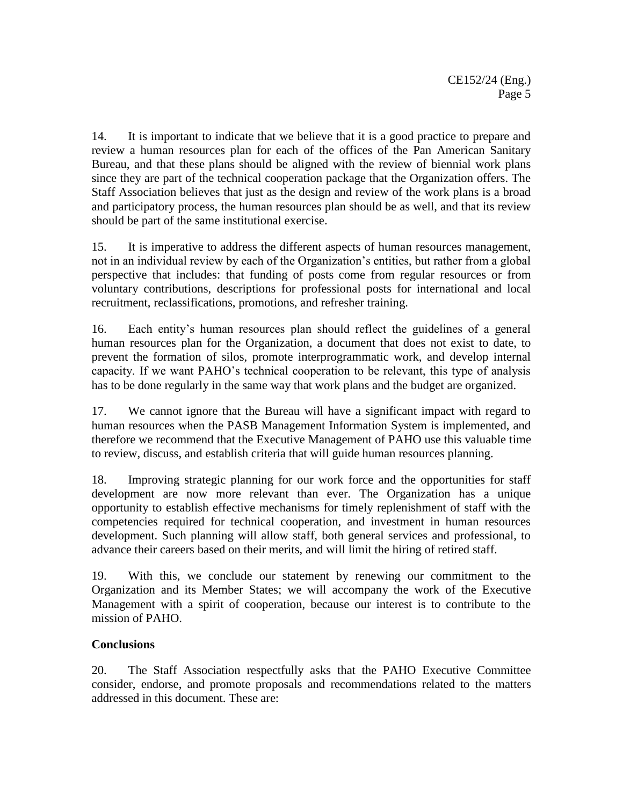14. It is important to indicate that we believe that it is a good practice to prepare and review a human resources plan for each of the offices of the Pan American Sanitary Bureau, and that these plans should be aligned with the review of biennial work plans since they are part of the technical cooperation package that the Organization offers. The Staff Association believes that just as the design and review of the work plans is a broad and participatory process, the human resources plan should be as well, and that its review should be part of the same institutional exercise.

15. It is imperative to address the different aspects of human resources management, not in an individual review by each of the Organization's entities, but rather from a global perspective that includes: that funding of posts come from regular resources or from voluntary contributions, descriptions for professional posts for international and local recruitment, reclassifications, promotions, and refresher training.

16. Each entity's human resources plan should reflect the guidelines of a general human resources plan for the Organization, a document that does not exist to date, to prevent the formation of silos, promote interprogrammatic work, and develop internal capacity. If we want PAHO's technical cooperation to be relevant, this type of analysis has to be done regularly in the same way that work plans and the budget are organized.

17. We cannot ignore that the Bureau will have a significant impact with regard to human resources when the PASB Management Information System is implemented, and therefore we recommend that the Executive Management of PAHO use this valuable time to review, discuss, and establish criteria that will guide human resources planning.

18. Improving strategic planning for our work force and the opportunities for staff development are now more relevant than ever. The Organization has a unique opportunity to establish effective mechanisms for timely replenishment of staff with the competencies required for technical cooperation, and investment in human resources development. Such planning will allow staff, both general services and professional, to advance their careers based on their merits, and will limit the hiring of retired staff.

19. With this, we conclude our statement by renewing our commitment to the Organization and its Member States; we will accompany the work of the Executive Management with a spirit of cooperation, because our interest is to contribute to the mission of PAHO.

## **Conclusions**

20. The Staff Association respectfully asks that the PAHO Executive Committee consider, endorse, and promote proposals and recommendations related to the matters addressed in this document. These are: